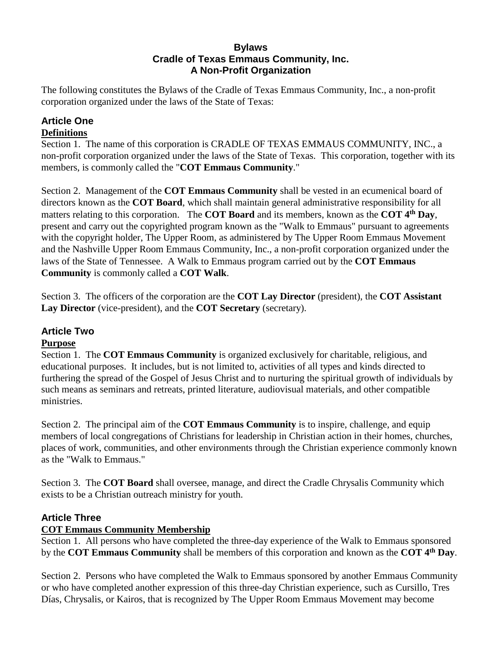### **Bylaws Cradle of Texas Emmaus Community, Inc. A Non-Profit Organization**

The following constitutes the Bylaws of the Cradle of Texas Emmaus Community, Inc., a non-profit corporation organized under the laws of the State of Texas:

### **Article One Definitions**

Section 1. The name of this corporation is CRADLE OF TEXAS EMMAUS COMMUNITY, INC., a non-profit corporation organized under the laws of the State of Texas. This corporation, together with its members, is commonly called the "**COT Emmaus Community**."

Section 2. Management of the **COT Emmaus Community** shall be vested in an ecumenical board of directors known as the **COT Board**, which shall maintain general administrative responsibility for all matters relating to this corporation. The **COT Board** and its members, known as the **COT 4th Day**, present and carry out the copyrighted program known as the "Walk to Emmaus" pursuant to agreements with the copyright holder, The Upper Room, as administered by The Upper Room Emmaus Movement and the Nashville Upper Room Emmaus Community, Inc., a non-profit corporation organized under the laws of the State of Tennessee. A Walk to Emmaus program carried out by the **COT Emmaus Community** is commonly called a **COT Walk**.

Section 3. The officers of the corporation are the **COT Lay Director** (president), the **COT Assistant Lay Director** (vice-president), and the **COT Secretary** (secretary).

# **Article Two**

# **Purpose**

Section 1. The **COT Emmaus Community** is organized exclusively for charitable, religious, and educational purposes. It includes, but is not limited to, activities of all types and kinds directed to furthering the spread of the Gospel of Jesus Christ and to nurturing the spiritual growth of individuals by such means as seminars and retreats, printed literature, audiovisual materials, and other compatible ministries.

Section 2. The principal aim of the **COT Emmaus Community** is to inspire, challenge, and equip members of local congregations of Christians for leadership in Christian action in their homes, churches, places of work, communities, and other environments through the Christian experience commonly known as the "Walk to Emmaus."

Section 3. The **COT Board** shall oversee, manage, and direct the Cradle Chrysalis Community which exists to be a Christian outreach ministry for youth.

# **Article Three**

# **COT Emmaus Community Membership**

Section 1. All persons who have completed the three-day experience of the Walk to Emmaus sponsored by the **COT Emmaus Community** shall be members of this corporation and known as the **COT 4th Day**.

Section 2. Persons who have completed the Walk to Emmaus sponsored by another Emmaus Community or who have completed another expression of this three-day Christian experience, such as Cursillo, Tres Días, Chrysalis, or Kairos, that is recognized by The Upper Room Emmaus Movement may become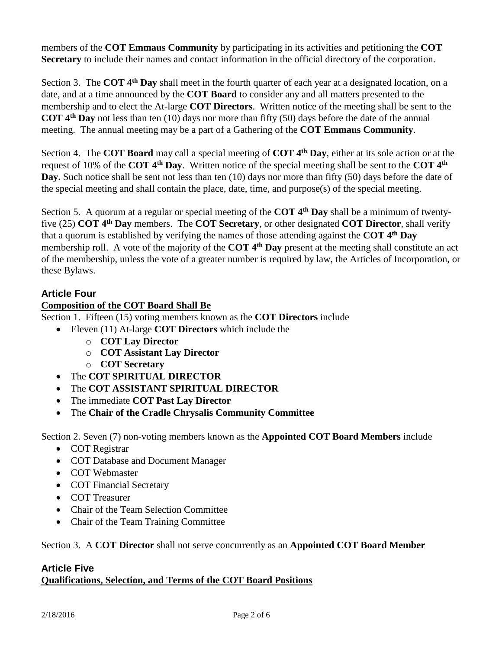members of the **COT Emmaus Community** by participating in its activities and petitioning the **COT Secretary** to include their names and contact information in the official directory of the corporation.

Section 3. The **COT 4th Day** shall meet in the fourth quarter of each year at a designated location, on a date, and at a time announced by the **COT Board** to consider any and all matters presented to the membership and to elect the At-large **COT Directors**. Written notice of the meeting shall be sent to the **COT 4 th Day** not less than ten (10) days nor more than fifty (50) days before the date of the annual meeting. The annual meeting may be a part of a Gathering of the **COT Emmaus Community**.

Section 4. The **COT Board** may call a special meeting of **COT 4th Day**, either at its sole action or at the request of 10% of the **COT 4th Day**. Written notice of the special meeting shall be sent to the **COT 4th Day.** Such notice shall be sent not less than ten (10) days nor more than fifty (50) days before the date of the special meeting and shall contain the place, date, time, and purpose(s) of the special meeting.

Section 5. A quorum at a regular or special meeting of the **COT 4th Day** shall be a minimum of twentyfive (25) **COT 4th Day** members. The **COT Secretary**, or other designated **COT Director**, shall verify that a quorum is established by verifying the names of those attending against the **COT 4th Day** membership roll. A vote of the majority of the **COT 4th Day** present at the meeting shall constitute an act of the membership, unless the vote of a greater number is required by law, the Articles of Incorporation, or these Bylaws.

## **Article Four**

### **Composition of the COT Board Shall Be**

Section 1. Fifteen (15) voting members known as the **COT Directors** include

- Eleven (11) At-large **COT Directors** which include the
	- o **COT Lay Director**
	- o **COT Assistant Lay Director**
	- o **COT Secretary**
- The **COT SPIRITUAL DIRECTOR**
- The **COT ASSISTANT SPIRITUAL DIRECTOR**
- The immediate **COT Past Lay Director**
- The **Chair of the Cradle Chrysalis Community Committee**

Section 2. Seven (7) non-voting members known as the **Appointed COT Board Members** include

- COT Registrar
- COT Database and Document Manager
- COT Webmaster
- COT Financial Secretary
- COT Treasurer
- Chair of the Team Selection Committee
- Chair of the Team Training Committee

### Section 3. A **COT Director** shall not serve concurrently as an **Appointed COT Board Member**

### **Article Five**

### **Qualifications, Selection, and Terms of the COT Board Positions**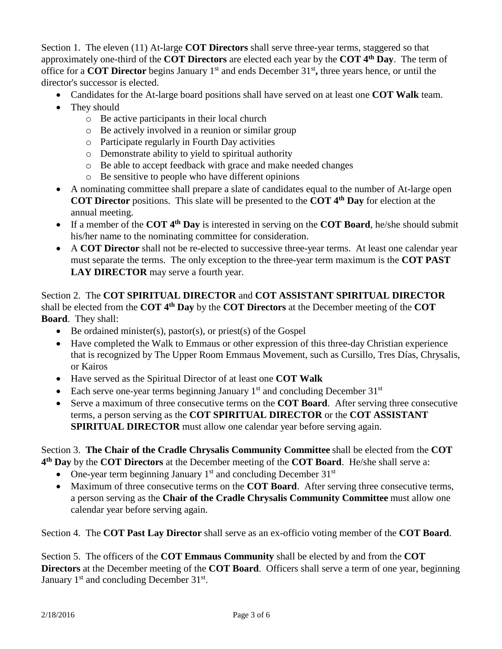Section 1. The eleven (11) At-large **COT Directors** shall serve three-year terms, staggered so that approximately one-third of the **COT Directors** are elected each year by the **COT 4th Day**. The term of office for a **COT Director** begins January 1<sup>st</sup> and ends December 31<sup>st</sup>, three years hence, or until the director's successor is elected.

- Candidates for the At-large board positions shall have served on at least one **COT Walk** team.
- They should
	- o Be active participants in their local church
	- o Be actively involved in a reunion or similar group
	- o Participate regularly in Fourth Day activities
	- o Demonstrate ability to yield to spiritual authority
	- o Be able to accept feedback with grace and make needed changes
	- o Be sensitive to people who have different opinions
- A nominating committee shall prepare a slate of candidates equal to the number of At-large open **COT Director** positions. This slate will be presented to the **COT 4th Day** for election at the annual meeting.
- If a member of the **COT 4th Day** is interested in serving on the **COT Board**, he/she should submit his/her name to the nominating committee for consideration.
- A **COT Director** shall not be re-elected to successive three-year terms. At least one calendar year must separate the terms. The only exception to the three-year term maximum is the **COT PAST**  LAY DIRECTOR may serve a fourth year.

Section 2. The **COT SPIRITUAL DIRECTOR** and **COT ASSISTANT SPIRITUAL DIRECTOR** shall be elected from the **COT 4th Day** by the **COT Directors** at the December meeting of the **COT Board**. They shall:

- $\bullet$  Be ordained minister(s), pastor(s), or priest(s) of the Gospel
- Have completed the Walk to Emmaus or other expression of this three-day Christian experience that is recognized by The Upper Room Emmaus Movement, such as Cursillo, Tres Días, Chrysalis, or Kairos
- Have served as the Spiritual Director of at least one **COT Walk**
- Each serve one-year terms beginning January  $1<sup>st</sup>$  and concluding December  $31<sup>st</sup>$
- Serve a maximum of three consecutive terms on the **COT Board**. After serving three consecutive terms, a person serving as the **COT SPIRITUAL DIRECTOR** or the **COT ASSISTANT SPIRITUAL DIRECTOR** must allow one calendar year before serving again.

Section 3. **The Chair of the Cradle Chrysalis Community Committee** shall be elected from the **COT 4 th Day** by the **COT Directors** at the December meeting of the **COT Board**. He/she shall serve a:

- One-year term beginning January  $1<sup>st</sup>$  and concluding December  $31<sup>st</sup>$
- Maximum of three consecutive terms on the **COT Board**. After serving three consecutive terms, a person serving as the **Chair of the Cradle Chrysalis Community Committee** must allow one calendar year before serving again.

Section 4. The **COT Past Lay Director** shall serve as an ex-officio voting member of the **COT Board**.

Section 5. The officers of the **COT Emmaus Community** shall be elected by and from the **COT Directors** at the December meeting of the **COT Board**. Officers shall serve a term of one year, beginning January  $1<sup>st</sup>$  and concluding December  $31<sup>st</sup>$ .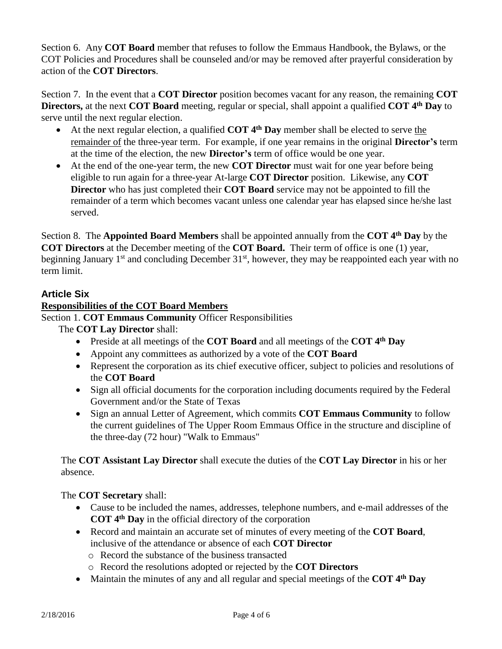Section 6. Any **COT Board** member that refuses to follow the Emmaus Handbook, the Bylaws, or the COT Policies and Procedures shall be counseled and/or may be removed after prayerful consideration by action of the **COT Directors**.

Section 7. In the event that a **COT Director** position becomes vacant for any reason, the remaining **COT Directors,** at the next **COT Board** meeting, regular or special, shall appoint a qualified **COT 4th Day** to serve until the next regular election.

- At the next regular election, a qualified **COT 4th Day** member shall be elected to serve the remainder of the three-year term. For example, if one year remains in the original **Director's** term at the time of the election, the new **Director's** term of office would be one year.
- At the end of the one-year term, the new **COT Director** must wait for one year before being eligible to run again for a three-year At-large **COT Director** position. Likewise, any **COT Director** who has just completed their **COT Board** service may not be appointed to fill the remainder of a term which becomes vacant unless one calendar year has elapsed since he/she last served.

Section 8. The **Appointed Board Members** shall be appointed annually from the **COT 4th Day** by the **COT Directors** at the December meeting of the **COT Board.** Their term of office is one (1) year, beginning January  $1<sup>st</sup>$  and concluding December  $31<sup>st</sup>$ , however, they may be reappointed each year with no term limit.

### **Article Six**

### **Responsibilities of the COT Board Members**

Section 1. **COT Emmaus Community** Officer Responsibilities

The **COT Lay Director** shall:

- Preside at all meetings of the **COT Board** and all meetings of the **COT 4th Day**
- Appoint any committees as authorized by a vote of the **COT Board**
- Represent the corporation as its chief executive officer, subject to policies and resolutions of the **COT Board**
- Sign all official documents for the corporation including documents required by the Federal Government and/or the State of Texas
- Sign an annual Letter of Agreement, which commits **COT Emmaus Community** to follow the current guidelines of The Upper Room Emmaus Office in the structure and discipline of the three-day (72 hour) "Walk to Emmaus"

The **COT Assistant Lay Director** shall execute the duties of the **COT Lay Director** in his or her absence.

The **COT Secretary** shall:

- Cause to be included the names, addresses, telephone numbers, and e-mail addresses of the **COT 4th Day** in the official directory of the corporation
- Record and maintain an accurate set of minutes of every meeting of the **COT Board**, inclusive of the attendance or absence of each **COT Director**
	- o Record the substance of the business transacted
	- o Record the resolutions adopted or rejected by the **COT Directors**
- Maintain the minutes of any and all regular and special meetings of the **COT 4th Day**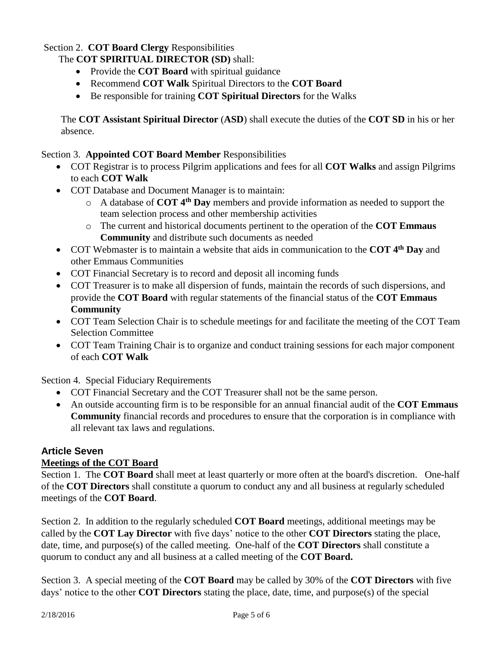### Section 2. **COT Board Clergy** Responsibilities

### The **COT SPIRITUAL DIRECTOR (SD)** shall:

- Provide the **COT Board** with spiritual guidance
- Recommend **COT Walk** Spiritual Directors to the **COT Board**
- Be responsible for training **COT Spiritual Directors** for the Walks

The **COT Assistant Spiritual Director** (**ASD**) shall execute the duties of the **COT SD** in his or her absence.

#### Section 3. **Appointed COT Board Member** Responsibilities

- COT Registrar is to process Pilgrim applications and fees for all **COT Walks** and assign Pilgrims to each **COT Walk**
- COT Database and Document Manager is to maintain:
	- o A database of **COT 4th Day** members and provide information as needed to support the team selection process and other membership activities
	- o The current and historical documents pertinent to the operation of the **COT Emmaus Community** and distribute such documents as needed
- COT Webmaster is to maintain a website that aids in communication to the **COT 4th Day** and other Emmaus Communities
- COT Financial Secretary is to record and deposit all incoming funds
- COT Treasurer is to make all dispersion of funds, maintain the records of such dispersions, and provide the **COT Board** with regular statements of the financial status of the **COT Emmaus Community**
- COT Team Selection Chair is to schedule meetings for and facilitate the meeting of the COT Team Selection Committee
- COT Team Training Chair is to organize and conduct training sessions for each major component of each **COT Walk**

Section 4. Special Fiduciary Requirements

- COT Financial Secretary and the COT Treasurer shall not be the same person.
- An outside accounting firm is to be responsible for an annual financial audit of the **COT Emmaus Community** financial records and procedures to ensure that the corporation is in compliance with all relevant tax laws and regulations.

### **Article Seven**

### **Meetings of the COT Board**

Section 1. The **COT Board** shall meet at least quarterly or more often at the board's discretion. One-half of the **COT Directors** shall constitute a quorum to conduct any and all business at regularly scheduled meetings of the **COT Board**.

Section 2. In addition to the regularly scheduled **COT Board** meetings, additional meetings may be called by the **COT Lay Director** with five days' notice to the other **COT Directors** stating the place, date, time, and purpose(s) of the called meeting. One-half of the **COT Directors** shall constitute a quorum to conduct any and all business at a called meeting of the **COT Board.**

Section 3. A special meeting of the **COT Board** may be called by 30% of the **COT Directors** with five days' notice to the other **COT Directors** stating the place, date, time, and purpose(s) of the special